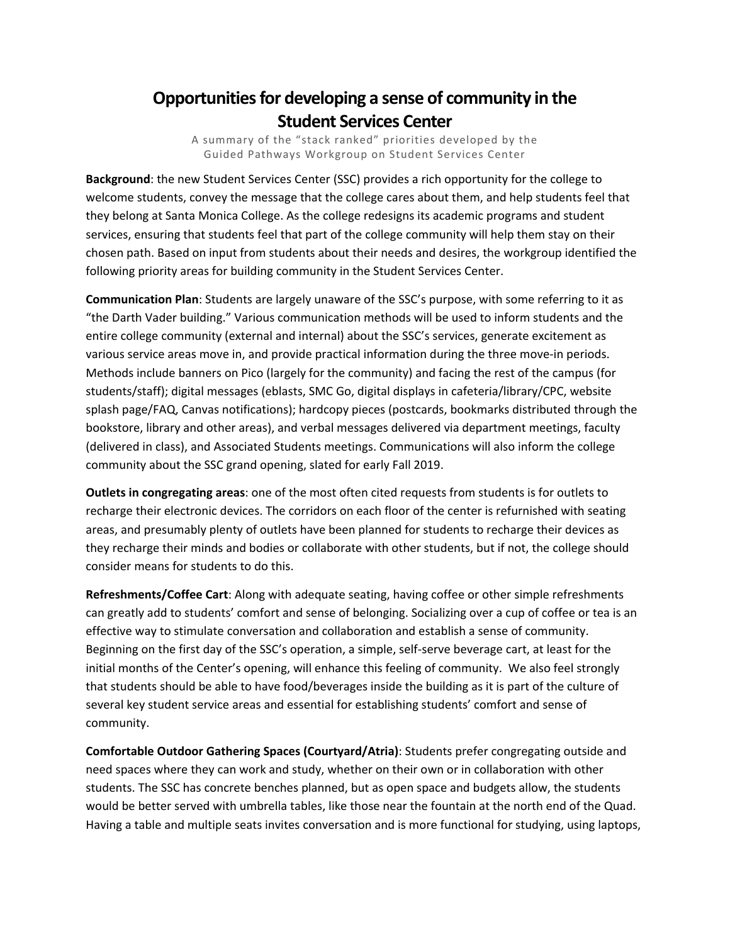## **Opportunities for developing a sense of community in the Student Services Center**

A summary of the "stack ranked" priorities developed by the Guided Pathways Workgroup on Student Services Center

**Background**: the new Student Services Center (SSC) provides a rich opportunity for the college to welcome students, convey the message that the college cares about them, and help students feel that they belong at Santa Monica College. As the college redesigns its academic programs and student services, ensuring that students feel that part of the college community will help them stay on their chosen path. Based on input from students about their needs and desires, the workgroup identified the following priority areas for building community in the Student Services Center.

**Communication Plan**: Students are largely unaware of the SSC's purpose, with some referring to it as "the Darth Vader building." Various communication methods will be used to inform students and the entire college community (external and internal) about the SSC's services, generate excitement as various service areas move in, and provide practical information during the three move-in periods. Methods include banners on Pico (largely for the community) and facing the rest of the campus (for students/staff); digital messages (eblasts, SMC Go, digital displays in cafeteria/library/CPC, website splash page/FAQ, Canvas notifications); hardcopy pieces (postcards, bookmarks distributed through the bookstore, library and other areas), and verbal messages delivered via department meetings, faculty (delivered in class), and Associated Students meetings. Communications will also inform the college community about the SSC grand opening, slated for early Fall 2019.

**Outlets in congregating areas**: one of the most often cited requests from students is for outlets to recharge their electronic devices. The corridors on each floor of the center is refurnished with seating areas, and presumably plenty of outlets have been planned for students to recharge their devices as they recharge their minds and bodies or collaborate with other students, but if not, the college should consider means for students to do this.

**Refreshments/Coffee Cart**: Along with adequate seating, having coffee or other simple refreshments can greatly add to students' comfort and sense of belonging. Socializing over a cup of coffee or tea is an effective way to stimulate conversation and collaboration and establish a sense of community. Beginning on the first day of the SSC's operation, a simple, self-serve beverage cart, at least for the initial months of the Center's opening, will enhance this feeling of community. We also feel strongly that students should be able to have food/beverages inside the building as it is part of the culture of several key student service areas and essential for establishing students' comfort and sense of community.

**Comfortable Outdoor Gathering Spaces (Courtyard/Atria)**: Students prefer congregating outside and need spaces where they can work and study, whether on their own or in collaboration with other students. The SSC has concrete benches planned, but as open space and budgets allow, the students would be better served with umbrella tables, like those near the fountain at the north end of the Quad. Having a table and multiple seats invites conversation and is more functional for studying, using laptops,